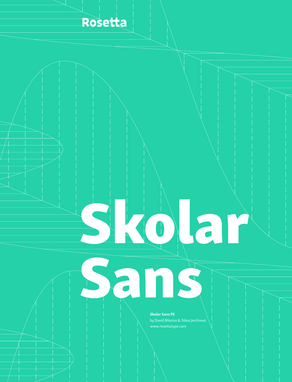

# Skolar

Skolar Sans PE

Sans

www.rosettatype.com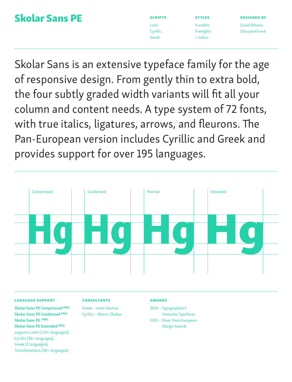### Skolar Sans PE

| _____<br>٠ |  |
|------------|--|
|            |  |

Cyrillic Greek

styles 4 widths 9 weights + italics

designed by David Březina Sláva Jevčinová

Skolar Sans is an extensive typeface family for the age of responsive design. From gently thin to extra bold, the four subtly graded width variants will fit all your column and content needs. A type system of 72 fonts, with true italics, ligatures, arrows, and fleurons. The Pan-European version includes Cyrillic and Greek and provides support for over 195 languages.



#### language support

Skolar Sans PE Compressed PRO Skolar Sans PE Condensed PRO Skolar Sans PE PRO Skolar Sans PE Extended PRO supports Latin (124+ languages), Cyrillic (39+ languages), Greek (2 languages), Transliterations (30+ languages)

#### **CONSULTANTS**

Greek – Irene Vlachou Cyrillic – Maxim Zhukov

#### Awards

2014 – Typographica's Favourite Typefaces

2015 – Silver from European Design Awards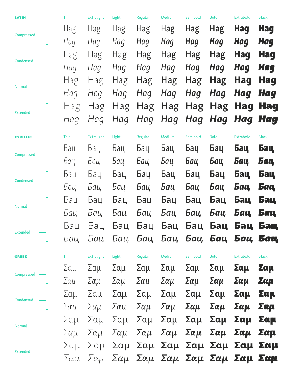| LATIN           | Thin | Extralight | Light | Regular | Medium     | Semibold   | <b>Bold</b> | <b>Extrabold</b>                    | <b>Black</b> |
|-----------------|------|------------|-------|---------|------------|------------|-------------|-------------------------------------|--------------|
| Compressed      | Hag  | Hag        | Hag   | Hag     | <b>Hag</b> | <b>Hag</b> | Hag         | <b>Hag</b>                          | <b>Hag</b>   |
|                 | Hag  | Hag        | Hag   | Hag     | Hag        | Hag        | Hag         | Hag                                 | <b>Hag</b>   |
| Condensed       | Hag  | Hag        | Hag   | Hag     | Hag        | <b>Hag</b> | Hag         | <b>Hag</b>                          | <b>Hag</b>   |
|                 | Hag  | Hag        | Hag   | Hag     | Hag        | Hag        | Hag         | <b>Hag</b>                          | <b>Hag</b>   |
|                 | Hag  | Hag        | Hag   | Hag     | Hag        | Hag        | Hag         | Hag                                 | <b>Hag</b>   |
| Normal          | Hag  | Hag        | Hag   | Hag     | Hag        | Hag        | Hag         | Hag                                 | <b>Hag</b>   |
|                 | Hag  | Hag        | Hag   | Hag     | Hag        | Hag        | <b>Hag</b>  | Hag                                 | <b>Hag</b>   |
| <b>Extended</b> | Hag  | Hag        | Hag   | Hag     | Hag        | <b>Hag</b> | Hag         | Hag                                 | <b>Hag</b>   |
| <b>CYRILLIC</b> | Thin | Extralight | Light | Regular | Medium     | Semibold   | <b>Bold</b> | Extrabold                           | <b>Black</b> |
|                 | Ьац  | Бац        | Бац   | Бац     | Бац        | Бац        | Бац         | Бац                                 | Бац          |
| Compressed      | Бац  | Бац        | Бац   | Бац     | Бац        | Бац        | Бац         | Бац                                 | Бац          |
|                 | Ьац  | Ьац        | Бац   | Бац     | Бац        | Бац        | Бац         | Бац                                 | Бац          |
| Condensed       | Бац  | Бац        | Бац   | Бац     | Бац        | Бац        | Бац         | Бац                                 | Бац          |
|                 | Бац  | Бац        | Бац   | Бац     | Бац        | Бац        | Бац         | Бац                                 | Бац          |
| Normal          | Бац  | Бац        | Бац   | Бац     | Бац        | Бац        | Бац         | Бац                                 | Бац          |
|                 | Ьац  | Бац        | Бац   | Бац     | Бац        | Бац        | Бац         | Бац                                 | Бац          |
| <b>Extended</b> | Бац  | Бац        | Бац   | Бац     | Бац        | Бац        | Бац         | Бац                                 | Бац          |
| <b>GREEK</b>    | Thin | Extralight | Light | Regular | Medium     | Semibold   | <b>Bold</b> | Extrabold                           | <b>Black</b> |
| Compressed —    | Σαμ  | Σαμ        | Σαμ   | Σαμ     | Σαμ        | Σαμ        | Σαμ         | Σαμ                                 | Σαμ          |
|                 |      |            |       |         |            |            |             | Σαμ Σαμ Σαμ Σαμ Σαμ Σαμ Σαμ Σαμ Σαμ | Σαμ          |
|                 |      |            |       |         |            |            |             |                                     |              |
|                 |      |            |       |         |            |            |             |                                     |              |
|                 |      |            |       |         |            |            |             |                                     |              |
|                 |      |            |       |         |            |            |             |                                     |              |
|                 |      |            |       |         |            |            |             |                                     |              |
|                 |      |            |       |         |            |            |             |                                     |              |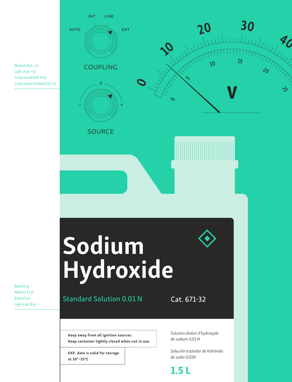

Medium 8 pt • sc Light 14 pt • sc Compressed Bold 24 pt Compressed Semibold 10.5 pt

Bold 43 pt Medium 13 pt Bold 6.5 pt Light Italic 8 pt

at 10°–25°C

*de sodio 0,01N*

1.5 L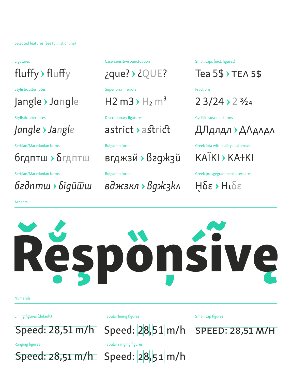Stylistic alternates Superiors/inferiors Fractions

## Jangle Jangle H2 m3  $H_2$  m<sup>3</sup> 2 3/24 > 2 3/24

бгдптш > δгдптш вгджзй > вгджзй КАЇКІ > КАНКІ

*бгдптш бгдптш вджзкл вджзкл* ῌδε ῌδε

Accents

Ligatures Case-sensitive punctuation Small caps (incl. figures)

## fluffy > fluffy  $iQUE$ ?  $iQUE$ ? Tea 5\$ TEA 5\$

Stylistic alternates Discretionary ligatures Cyrillic isosceles forms

*Jangle Jangle* astrict astrict ДЛдлдл ДЛдлдл

Serbian/Macedonian forms Bulgarian forms Greek iota with dialityka alternate

Serbian/Macedonian forms Bulgarian forms Greek prosgegrammeni alternates

IS

Numerals

Lining figures (default) Tabular lining figures

Speed: 28,51 m/h Speed: 28,51 m/h



Speed: 28,51 m/h

Ranging figures Tabular ranging figures

Small cap figures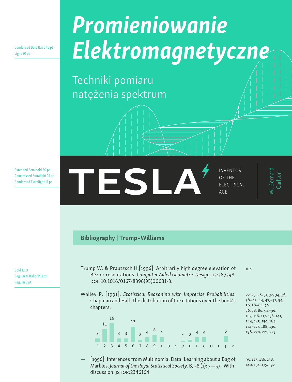Condensed Bold Italic 43 pt Light 20 pt

# *Promieniowanie Elektromagnetyczne*

Techniki pomiaru natężenia spektrum

Extended Semibold 80 pt Compressed Extralight 11 pt Condensed Extralight 11 pt

ELECTRICA of the electrical AGE

W. Bernard

#### Bibliography | Trump–Williams

Bold 11 pt Regular & Italic 9/11 pt Regular 7 pt

- Trump W. & Prautzsch H.[1996]. Arbitrarily high degree elevation of Bézier resentations. *Computer Aided Geometric Design,* 13:387398. doi: 10.1016/0167-8396(95)00031-3.
- Walley P. [1991]. *Statistical Reasoning with Imprecise Probabilities.* Chapman and Hall. The distribution of the citations over the book's chapters:



[1996]. Inferences from Multinomial Data: Learning about a Bag of Marbles. *Journal of the Royal Statistical Society,* B, 58 (1): 3—57. With discussion. JSTOR:2346164.

106

22, 23, 28, 31, 32, 34, 36, 38–42, 44, 47,–52, 54, 56, 58–64, 70, 76, 78, 80, 94–96, 107, 116, 117, 136, 141, 144, 145, 150, 164, 174–177, 188, 190, 198, 220, 221, 223

95, 123, 136, 138, 140, 154, 175, 192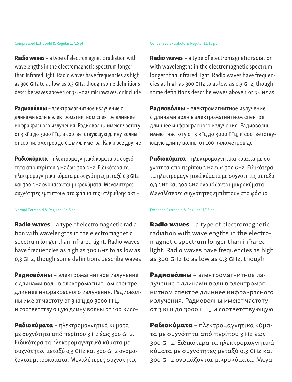Radio waves - a type of electromagnetic radiation with wavelengths in the electromagnetic spectrum longer than infrared light. Radio waves have frequencies as high as 300 GHz to as low as 0,3 GHz, though some definitions describe waves above 1 or 3 GHz as microwaves, or include

Радиово́лны - электромагнитное излучение с длинами волн в электромагнитном спектре длиннее инфракрасного излучения. Радиоволны имеют частоту от 3 кГц до 3000 ГГц, и соответствующую длину волны от 100 километров до 0,1 миллиметра. Как и все другие

Ραδιοκύματα – ηλεκτρομαγνητικά κύματα με συχνότητα από περίπου 3 Hz έως 300 GHz. Ειδικότερα τα ηλεκτρομαγνητικά κύματα με συχνότητες μεταξύ 0,3 GHz και 300 GHz ονομάζονται μικροκύματα. Μεγαλύτερες συχνότητες εμπίπτουν στο φάσμα της υπέρυθρης ακτι-

Radio waves - a type of electromagnetic radiation with wavelengths in the electromagnetic spectrum longer than infrared light. Radio waves have frequencies as high as 300 GHz to as low as 0,3 GHz, though some definitions describe waves

Радиово́лны – электромагнитное излучение с длинами волн в электромагнитном спектре длиннее инфракрасного излучения. Радиоволны имеют частоту от 3 кГц до 3000 ГГц, и соответствующую длину волны от 100 кило-

Ραδιοκύματα – ηλεκτρομαγνητικά κύματα με συχνότητα από περίπου 3 Hz έως 300 GHz. Ειδικότερα τα ηλεκτρομαγνητικά κύματα με συχνότητες μεταξύ 0,3 GHz και 300 GHz ονομάζονται μικροκύματα. Μεγαλύτερες συχνότητες

Radio waves - a type of electromagnetic radiation with wavelengths in the electromagnetic spectrum longer than infrared light. Radio waves have frequencies as high as 300 GHz to as low as 0,3 GHz, though some definitions describe waves above 1 or 3 GHz as

Радиово́лны - электромагнитное излучение с длинами волн в электромагнитном спектре длиннее инфракрасного излучения. Радиоволны имеют частоту от 3 кГц до 3000 ГГц, и соответствующую длину волны от 100 километров до

Ραδιοκύματα – ηλεκτρομαγνητικά κύματα με συχνότητα από περίπου 3 Hz έως 300 GHz. Ειδικότερα τα ηλεκτρομαγνητικά κύματα με συχνότητες μεταξύ 0,3 GHz και 300 GHz ονομάζονται μικροκύματα. Μεγαλύτερες συχνότητες εμπίπτουν στο φάσμα

#### Normal Extrabold & Regular 11/15 pt Extended Extrabold & Regular 11/15 pt

Radio waves - a type of electromagnetic radiation with wavelengths in the electromagnetic spectrum longer than infrared light. Radio waves have frequencies as high as 300 GHz to as low as 0,3 GHz, though

Радиово́лны - электромагнитное излучение с длинами волн в электромагнитном спектре длиннее инфракрасного излучения. Радиоволны имеют частоту от 3 кГц до 3000 ГГц, и соответствующую

Ραδιοκύματα – ηλεκτρομαγνητικά κύματα με συχνότητα από περίπου 3 Hz έως 300 GHz. Ειδικότερα τα ηλεκτρομαγνητικά κύματα με συχνότητες μεταξύ 0,3 GHz και 300 GHz ονομάζονται μικροκύματα. Μεγα-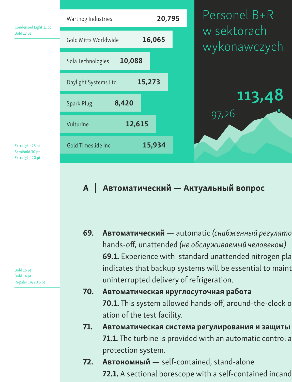

#### $A$ Автоматический — Актуальный вопрос

69. Автоматический — automatic (снабженный регулято hands-off, unattended (не обслуживаемый человеком) 69.1. Experience with standard unattended nitrogen pla indicates that backup systems will be essential to maint uninterrupted delivery of refrigeration.

### 70. Автоматическая круглосуточная работа 70.1. This system allowed hands-off, around-the-clock o ation of the test facility.

- 71. Автоматическая система регулирования и защиты 71.1. The turbine is provided with an automatic control a protection system.
- 72. Автономный self-contained, stand-alone 72.1. A sectional borescope with a self-contained incand

Bold 16 pt Bold 14 pt Regular 14/20.5 pt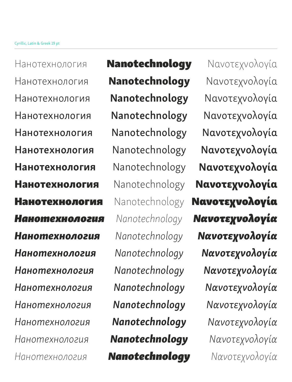Нанотехнология Нанотехнология Нанотехнология Нанотехнология Нанотехнология Нанотехнология Нанотехнология Нанотехнология Нанотехнология *Нанотехнология Нанотехнология Нанотехнология Нанотехнология Нанотехнология Нанотехнология Нанотехнология Нанотехнология Нанотехнология*

Nanotechnology Nanotechnology Nanotechnology Nanotechnology Nanotechnology Nanotechnology Nanotechnology Nanotechnology Nanotechnology *Nanotechnology Nanotechnology Nanotechnology Nanotechnology Nanotechnology Nanotechnology Nanotechnology Nanotechnology Nanotechnology*

Νανοτεχνολογία Νανοτεχνολογία Νανοτεχνολογία Νανοτεχνολογία Νανοτεχνολογία Νανοτεχνολογία Νανοτεχνολογία Νανοτεχνολογία Νανοτεχνολογία *Νανοτεχνολογία Νανοτεχνολογία Νανοτεχνολογία Νανοτεχνολογία Νανοτεχνολογία Νανοτεχνολογία Νανοτεχνολογία Νανοτεχνολογία Νανοτεχνολογία*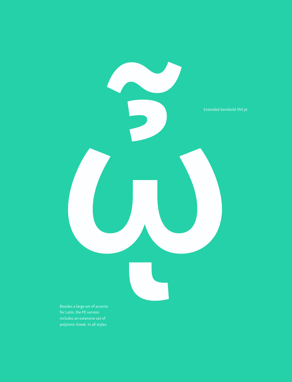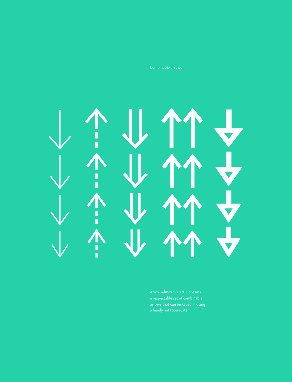Combinable arrows

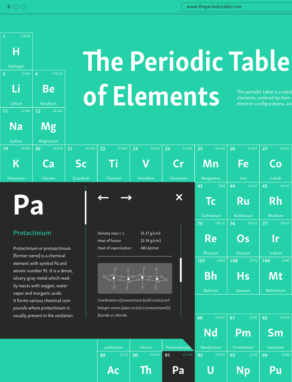

# **The Periodic Table** of Elements, ordered by their elements, ordered by their electron configurations, an

#### Protactinium

Protactinium or protoactinium (former name) is a chemical atomic number 91. It is a dense, silvery-gray metal which readily reacts with oxygen, water vapor and inorganic acids. It forms various chemical compounds where protactinium is usually present in the oxidation



Density near r. t. 15.37 g/cm3 Heat of fusion 12.34 g/cm3 Heat of vaporization 481 kJ/mol

Pa



*Coordination of protactinium (solid circles) and halogen atoms (open circles) in protactinium(V)* 





 $\mathsf{Ac} \parallel \mathsf{Th} \parallel \mathsf{Pa} \parallel \mathsf{U} \parallel \mathsf{Np} \parallel \mathsf{Pu} \parallel$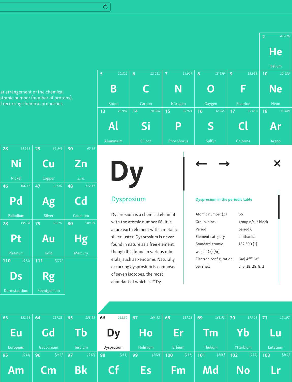$\mathcal{C}$ 

lar arrangement of the chemical<br>atomic number (number of protc<br>d recurring chemical properties. atomic number (number of protons), d recurring chemical properties.

| 28  | $58.693$ 29  | $63.546$ 30 | 65.38                  |                                                                                                            |                                         |                           |   |
|-----|--------------|-------------|------------------------|------------------------------------------------------------------------------------------------------------|-----------------------------------------|---------------------------|---|
|     | <b>Ni</b>    | Cu          | Zn                     |                                                                                                            |                                         |                           | X |
|     | Nickel       | Copper      | Zinc                   |                                                                                                            |                                         |                           |   |
| 46  | $106.42$ 47  | $107.87$ 48 | 112.41                 |                                                                                                            |                                         |                           |   |
|     | Pd           | <b>Ag</b>   | C <sub>d</sub>         | <b>Dysprosium</b>                                                                                          | <b>Dysprosium in the periodic table</b> |                           |   |
|     | Palladium    | Silver      | Cadmium                | Dysprosium is a chemical element                                                                           | Atomic number (Z)                       | 66                        |   |
| 78  | $195.08$ 79  | 196.97      | $ 80\rangle$<br>200.59 | with the atomic number 66. It is                                                                           | Group, block                            | group n/a, f-block        |   |
|     |              |             |                        | a rare earth element with a metallic                                                                       | Period                                  | period 6                  |   |
|     | Pt           | /Au         | Hg                     | silver luster. Dysprosium is never<br>found in nature as a free element,                                   | Element category<br>Standard atomic     | lanthanide<br>162.500 (1) |   |
|     | Platinum     | Gold        | Mercury                | though it is found in various min-                                                                         | weight $(\pm)$ (Ar)                     |                           |   |
| 110 | $[271]$ 111  | [272]       |                        | erals, such as xenotime. Naturally                                                                         | Electron configuration                  | $[Xe] 4f^{10} 6s^2$       |   |
|     | <b>Ds</b>    | <b>Rg</b>   |                        | occurring dysprosium is composed<br>of seven isotopes, the most<br>abundant of which is <sup>164</sup> Dy. | per shell                               | 2, 8, 18, 28, 8, 2        |   |
|     | Darmstadtium | Roentgenium |                        |                                                                                                            |                                         |                           |   |



#### Dysprosium

#### Dysprosium in the periodic table

| Atomic number (Z)      | 66                                      |
|------------------------|-----------------------------------------|
| Group, block           | group n/a, f-block                      |
| Period                 | period 6                                |
| Element category       | lanthanide                              |
| Standard atomic        | 162.500 (1)                             |
| weight $(\pm)$ (Ar)    |                                         |
| Electron configuration | $[Xe]$ 4f <sup>10</sup> 6s <sup>2</sup> |
| per shell              | 2, 8, 18, 28, 8, 2                      |
|                        |                                         |

**2**

**He** 

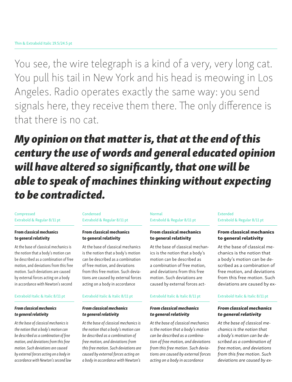You see, the wire telegraph is a kind of a very, very long cat. You pull his tail in New York and his head is meowing in Los Angeles. Radio operates exactly the same way: you send signals here, they receive them there. The only difference is that there is no cat.

## *My opinion on that matter is, that at the end of this century the use of words and general educated opinion will have altered so significantly, that one will be able to speak of machines thinking without expecting to be contradicted.*

#### Compressed Extrabold & Regular 8/11 pt

#### From classical mechanics to general relativity

At the base of classical mechanics is the notion that a body's motion can be described as a combination of free motion, and deviations from this free motion. Such deviations are caused by external forces acting on a body in accordance with Newton's second

#### Extrabold Italic & Italic 8/11 pt

#### *From classical mechanics to general relativity*

*At the base of classical mechanics is the notion that a body's motion can be described as a combination of free motion, and deviations from this free motion. Such deviations are caused by external forces acting on a body in accordance with Newton's second law* 

#### Condensed Extrabold & Regular 8/11 pt

#### From classical mechanics to general relativity

At the base of classical mechanics is the notion that a body's motion can be described as a combination of free motion, and deviations from this free motion. Such deviations are caused by external forces acting on a body in accordance

#### Extrabold Italic & Italic 8/11 pt

#### *From classical mechanics to general relativity*

*At the base of classical mechanics is the notion that a body's motion can be described as a combination of free motion, and deviations from this free motion. Such deviations are caused by external forces acting on a body in accordance with Newton's* 

#### Normal Extrabold & Regular 8/11 pt

#### From classical mechanics to general relativity

At the base of classical mechanics is the notion that a body's motion can be described as a combination of free motion, and deviations from this free motion. Such deviations are caused by external forces act-

#### Extrabold Italic & Italic 8/11 pt

#### *From classical mechanics to general relativity*

*At the base of classical mechanics is the notion that a body's motion can be described as a combination of free motion, and deviations from this free motion. Such deviations are caused by external forces acting on a body in accordance* 

#### Extended Extrabold & Regular 8/11 pt

#### From classical mechanics to general relativity

At the base of classical mechanics is the notion that a body's motion can be described as a combination of free motion, and deviations from this free motion. Such deviations are caused by ex-

#### Extrabold Italic & Italic 8/11 pt

#### *From classical mechanics to general relativity*

*At the base of classical mechanics is the notion that a body's motion can be described as a combination of free motion, and deviations from this free motion. Such deviations are caused by ex-*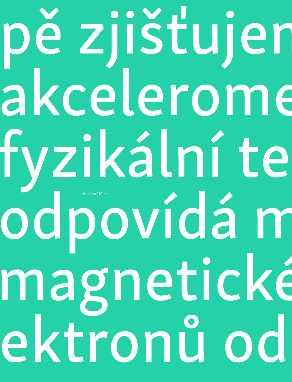# pě zjišťujeme akcelerome fyzikální te odpovídá m magnetické ektronů od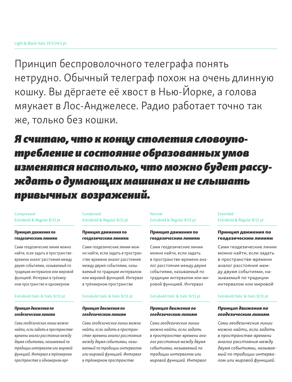Принцип беспроволочного телеграфа понять нетрудно. Обычный телеграф похож на очень длинную кошку. Вы дёргаете её хвост в Нью-Йорке, а голова мяукает в Лос-Анджелесе. Радио работает точно так же, только без кошки.

*Я считаю, что к концу столетия словоупотребление и состояние образованных умов изменятся настолько, что можно будет рассуждать о думающих машинах и не слышать привычных возражений.*

#### Compressed Extrabold & Regular 8/11 pt

#### Принцип движения по геодезическим линиям

Сами геодезические линии можно найти, если задать в пространствевремени аналог расстояния между двумя событиями, называемый по традиции интервалом или мировой функцией. Интервал в трёхмерном пространстве и одномерном

#### Extrabold Italic & Italic 8/11 pt

#### *Принцип движения по геодезическим линиям*

*Сами геодезические линии можно найти, если задать в пространствевремени аналог расстояния между двумя событиями, называемый по традиции интервалом или мировой функцией. Интервал в трёхмерном пространстве и одномерном вре-*

#### Condensed Extrabold & Regular 8/11 pt

#### Принцип движения по геодезическим линиям

Сами геодезические линии можно найти, если задать в пространстве-времени аналог расстояния между двумя событиями, называемый по традиции интервалом или мировой функцией. Интервал в трёхмерном пространстве

#### Extrabold Italic & Italic 8/11 pt

#### *Принцип движения по геодезическим линиям*

*Сами геодезические линии можно найти, если задать в пространстве-времени аналог расстояния между двумя событиями, называемый по традиции интервалом или мировой функцией. Интервал в трёхмерном пространстве* 

#### Normal Extrabold & Regular 8/11 pt

#### Принцип движения по геодезическим линиям

Сами геодезические линии можно найти, если задать в пространстве-времени аналог расстояния между двумя событиями, называемый по традиции интервалом или мировой функцией. Интервал

#### Extrabold Italic & Italic 8/11 pt

#### *Принцип движения по геодезическим линиям*

*Сами геодезические линии можно найти, если задать в пространстве-времени аналог расстояния между двумя событиями, называемый по традиции интервалом или мировой функцией. Интервал* 

#### Extended Extrabold & Regular 8/11 pt

#### Принцип движения по геодезическим линиям

Сами геодезические линии можно найти, если задать в пространстве-времени аналог расстояния между двумя событиями, называемый по традиции интервалом или мировой

#### Extrabold Italic & Italic 8/11 pt

#### *Принцип движения по геодезическим линиям*

*Сами геодезические линии можно найти, если задать в пространстве-времени аналог расстояния между двумя событиями, называемый по традиции интервалом или мировой функцией.*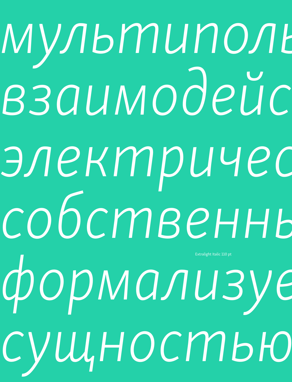мультиполь взаимодейс электричес *собственные дипольные*  формализуе  $c$ ущностью Extralight Italic 110 pt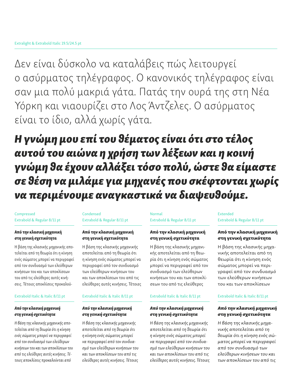Δεν είναι δύσκολο να καταλάβεις πώς λειτουργεί ο ασύρματος τηλέγραφος. Ο κανονικός τηλέγραφος είναι σαν μια πολύ μακριά γάτα. Πατάς την ουρά της στη Νέα Υόρκη και νιαουρίζει στο Λος Άντζελες. Ο ασύρματος είναι το ίδιο, αλλά χωρίς γάτα.

*Η γνώμη μου επί του θέματος είναι ότι στο τέλος αυτού του αιώνα η χρήση των λέξεων και η κοινή γνώμη θα έχουν αλλάξει τόσο πολύ, ώστε θα είμαστε σε θέση να μιλάμε για μηχανές που σκέφτονται χωρίς να περιμένουμε αναγκαστικά να διαψευθούμε.*

#### Compressed Extrabold & Regular 8/11 pt

#### Από την κλασική μηχανική στη γενική σχετικότητα

Η βάση της κλασικής μηχανικής αποτελείται από τη θεωρία ότι η κίνηση ενός σώματος μπορεί να περιγραφεί από τον συνδυασμό των ελεύθερων κινήσεων του και των αποκλίσεων του από τις ελεύθερες αυτές κινήσεις. Τέτοιες αποκλίσεις προκαλού-

#### Extrabold Italic & Italic 8/11 pt

#### *Από την κλασική μηχανική στη γενική σχετικότητα*

*Η βάση της κλασικής μηχανικής αποτελείται από τη θεωρία ότι η κίνηση ενός σώματος μπορεί να περιγραφεί από τον συνδυασμό των ελεύθερων κινήσεων του και των αποκλίσεων του από τις ελεύθερες αυτές κινήσεις. Τέτοιες αποκλίσεις προκαλούνται από* 

#### Condensed Extrabold & Regular 8/11 pt

#### Από την κλασική μηχανική στη γενική σχετικότητα

Η βάση της κλασικής μηχανικής αποτελείται από τη θεωρία ότι η κίνηση ενός σώματος μπορεί να περιγραφεί από τον συνδυασμό των ελεύθερων κινήσεων του και των αποκλίσεων του από τις ελεύθερες αυτές κινήσεις. Τέτοιες

#### Extrabold Italic & Italic 8/11 pt

#### *Από την κλασική μηχανική στη γενική σχετικότητα*

*Η βάση της κλασικής μηχανικής αποτελείται από τη θεωρία ότι η κίνηση ενός σώματος μπορεί να περιγραφεί από τον συνδυασμό των ελεύθερων κινήσεων του και των αποκλίσεων του από τις ελεύθερες αυτές κινήσεις. Τέτοιες* 

#### Normal Extrabold & Regular 8/11 pt

#### Από την κλασική μηχανική στη γενική σχετικότητα

Η βάση της κλασικής μηχανικής αποτελείται από τη θεωρία ότι η κίνηση ενός σώματος μπορεί να περιγραφεί από τον συνδυασμό των ελεύθερων κινήσεων του και των αποκλίσεων του από τις ελεύθερες

#### Extrabold Italic & Italic 8/11 pt

#### *Από την κλασική μηχανική στη γενική σχετικότητα*

*Η βάση της κλασικής μηχανικής αποτελείται από τη θεωρία ότι η κίνηση ενός σώματος μπορεί να περιγραφεί από τον συνδυασμό των ελεύθερων κινήσεων του και των αποκλίσεων του από τις ελεύθερες αυτές κινήσεις. Τέτοιες*  Extended Extrabold & Regular 8/11 pt

#### Από την κλασική μηχανική στη γενική σχετικότητα

Η βάση της κλασικής μηχανικής αποτελείται από τη θεωρία ότι η κίνηση ενός σώματος μπορεί να περιγραφεί από τον συνδυασμό των ελεύθερων κινήσεων του και των αποκλίσεων

#### Extrabold Italic & Italic 8/11 pt

#### *Από την κλασική μηχανική στη γενική σχετικότητα*

*Η βάση της κλασικής μηχανικής αποτελείται από τη θεωρία ότι η κίνηση ενός σώματος μπορεί να περιγραφεί από τον συνδυασμό των ελεύθερων κινήσεων του και των αποκλίσεων του από τις*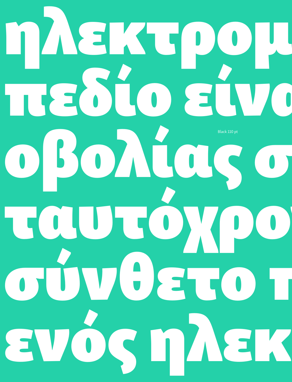# ηλεκτρομ πεδίο είνα οβολίας σ ταυτόχρο σύνθετο π ενός ηλεκ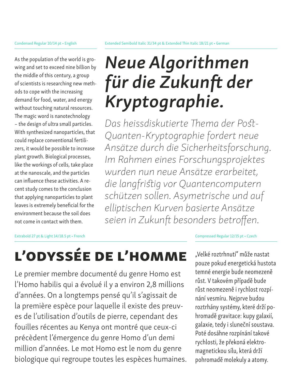As the population of the world is growing and set to exceed nine billion by the middle of this century, a group of scientists is researching new methods to cope with the increasing demand for food, water, and energy without touching natural resources. The magic word is nanotechnology – the design of ultra small particles. With synthesized nanoparticles, that could replace conventional fertilizers, it would be possible to increase plant growth. Biological processes, like the workings of cells, take place at the nanoscale, and the particles can influence these activities. A recent study comes to the conclusion that applying nanoparticles to plant leaves is extremely beneficial for the environment because the soil does not come in contact with them.

# *Neue Algorithmen für die Zukunft der Kryptographie.*

*Das heissdiskutierte Thema der Post-Quanten-Kryptographie fordert neue Ansätze durch die Sicherheitsforschung. Im Rahmen eines Forschungsprojektes wurden nun neue Ansätze erarbeitet, die langfristig vor Quantencomputern schützen sollen. Asymetrische und auf elliptischen Kurven basierte Ansätze seien in Zukunft besonders betroffen.*

#### Extrabold 27 pt & Light 14/18.5 pt • French Compressed Regular 12/15 pt • Czech

# L'odyssée de l'homme

Le premier membre documenté du genre Homo est l'Homo habilis qui a évolué il y a environ 2,8 millions d'années. On a longtemps pensé qu'il s'agissait de la première espèce pour laquelle il existe des preuves de l'utilisation d'outils de pierre, cependant des fouilles récentes au Kenya ont montré que ceux-ci précèdent l'émergence du genre Homo d'un demi million d'années. Le mot Homo est le nom du genre biologique qui regroupe toutes les espèces humaines.

"Velké roztrhnutí" může nastat pouze pokud energetická hustota temné energie bude neomezeně růst. V takovém případě bude růst neomezeně i rychlost rozpínání vesmíru. Nejprve budou roztrhány systémy, které drží pohromadě gravitace: kupy galaxií, galaxie, tedy i sluneční soustava. Poté dosáhne rozpínání takové rychlosti, že překoná elektromagnetickou sílu, která drží pohromadě molekuly a atomy.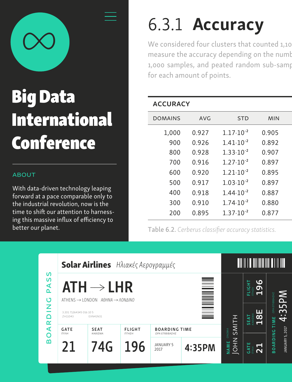

# Big Data International Conference

#### **ABOUT**

With data-driven technology leaping forward at a pace comparable only to the industrial revolution, now is the time to shift our attention to harnessing this massive influx of efficiency to better our planet.

# 6.3.1 Accuracy

We considered four clusters that counted 1,10 measure the accuracy depending on the numb 1,000 samples, and peated random sub-samp for each amount of points.

#### **ACCURACY**

| <b>DOMAINS</b> | AVG   | <b>STD</b>           | <b>MIN</b> |  |
|----------------|-------|----------------------|------------|--|
| 1,000          | 0.927 | $1.17 \cdot 10^{-2}$ | 0.905      |  |
| 900            | 0.926 | $1.41 \cdot 10^{-2}$ | 0.892      |  |
| 800            | 0.928 | $1.33 \cdot 10^{-2}$ | 0.907      |  |
| 700            | 0.916 | $1.27 \cdot 10^{-2}$ | 0.897      |  |
| 600            | 0.920 | $1.21 \cdot 10^{-2}$ | 0.895      |  |
| 500            | 0.917 | $1.03 \cdot 10^{-2}$ | 0.897      |  |
| 400            | 0.918 | $1.44 \cdot 10^{-2}$ | 0.887      |  |
| 300            | 0.910 | $1.74 \cdot 10^{-2}$ | 0.880      |  |
| 200            | 0.895 | $1.37 \cdot 10^{-2}$ | 0.877      |  |
|                |       |                      |            |  |

Table 6.2. *Cerberus classifier accuracy statistics*.

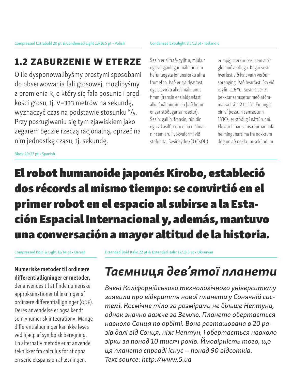#### Condensed Extralight 9.5/13 pt • Icelandic

### 1.2 zaburzenie w eterze

O ile dysponowalibyśmy prostymi sposobami do obserwowania fali głosowej, moglibyśmy z promienia R, o który się fala posunie i prędkości głosu, tj. V=333 metrów na sekundę, wyznaczyć czas na podstawie stosunku <sup>R</sup>/v. Przy posługiwaniu się tym zjawiskiem jako zegarem będzie rzeczą racjonalną, oprzeć na nim jednostkę czasu, tj. sekundę.

Sesín er silfrað-gylltur, mjúkur og sveigjanlegur málmur sem hefur lægsta jónunarorku allra frumefna. Það er sjaldgæfast ógeislavirku alkalímálmanna fimm (fransín er sjaldgæfasti alkalímálmurinn en það hefur engar stöðugar samsætur). Sesín, gallín, fransín, rúbidín og kvikasilfur eru einu málmarnir sem eru í vökvaformi við stofuhita. Sesínhýdroxíð (CsOH) er mjög sterkur basi sem ætir gler auðveldlega. Þegar sesín hvarfast við kalt vatn verður sprenging. Það hvarfast líka við ís yfir -116 °C. Sesín á sér 39 þekktar samsætur með atómmassa frá 112 til 151. Einungis ein af þessum samsætum, 133Cs, er stöðug í náttúrunni. Flestar hinar samsæturnar hafa helmingunartíma frá nokkrum dögum að nokkrum sekúndum.

Black 20/27 pt • Spanish

## El robot humanoide japonés Kirobo, estableció dos récords al mismo tiempo: se convirtió en el primer robot en el espacio al subirse a la Estación Espacial Internacional y, además, mantuvo una conversación a mayor altitud de la historia.

Numeriske metoder til ordinære differentialligninger er metoder, der anvendes til at finde numeriske approksimationer til løsninger af ordinære differentialligninger (ODE). Deres anvendelse er også kendt som »numerisk integration«. Mange differentialligninger kan ikke løses ved hjælp af symbolsk beregning. En alternativ metode er at anvende teknikker fra calculus for at opnå en serie ekspansion af løsningen.

Compressed Bold & Light 11/14 pt • Danish Extended Bold Italic 22 pt & Extended Italic 12/15.5 pt • Ukrainian

# *Таємниця дев'ятої планети*

*Вчені Каліфорнійського технологічного університету заявили про відкриття нової планети у Сонячній системі. Космічне тіло за розмірами не більше Нептуна, однак значно важче за Землю. Планета обертається навколо Сонця по орбіті. Вона розташована в 20 разів далі від Сонця, ніж Нептун, і обертається навколо зірки за понад 10 тисяч років. Ймовірність того, що ця планета справді існує – понад 90 відсотків. Text source: http://www.5.ua*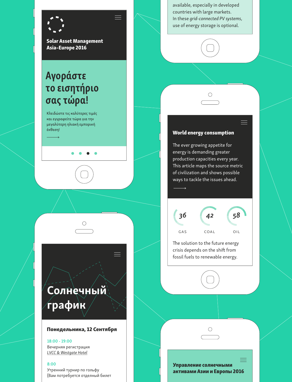

Solar Asset Management Asia–Europe 2016

## Αγοράστε το εισητήριο σας τώρα!

Κλειδώστε τις καλύτερες τιμές και εγγραφείτε τώρα για την μεγαλύτερη ηλιακή εμπορική έκθεση!

––––––––→



#### Понедельника, 12 Сентября

#### 18:00 - 19:00

Вечерняя регистрация *LVCC & Westgate Hotel*

#### 8:00

Утренний турнир по гольфу (Вам потребуется отделный билет available, especially in developed countries with large markets. In these *grid-connected PV systems*, use of energy storage is optional.



#### World energy consumption

The ever growing appetite for energy is demanding greater production capacities every year. This article maps the source metric of civilization and shows possible ways to tackle the issues ahead.

––––––––→



The solution to the future energy crisis depends on the shift from fossil fuels to renewable energy.



═

⌒